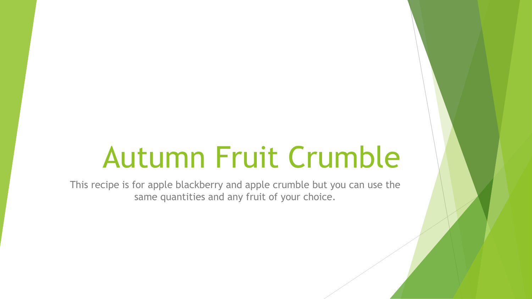# Autumn Fruit Crumble

This recipe is for apple blackberry and apple crumble but you can use the same quantities and any fruit of your choice.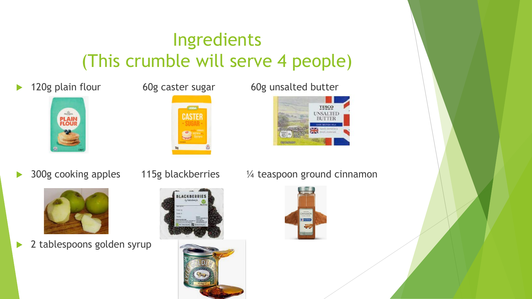#### Ingredients (This crumble will serve 4 people)











▶ 2 tablespoons golden syrup







▶ 300g cooking apples 115g blackberries  $\frac{1}{4}$  teaspoon ground cinnamon

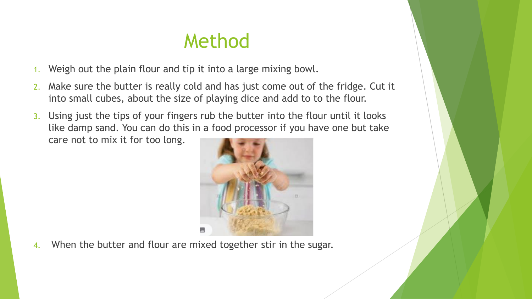#### Method

- 1. Weigh out the plain flour and tip it into a large mixing bowl.
- 2. Make sure the butter is really cold and has just come out of the fridge. Cut it into small cubes, about the size of playing dice and add to to the flour.
- 3. Using just the tips of your fingers rub the butter into the flour until it looks like damp sand. You can do this in a food processor if you have one but take care not to mix it for too long.



4. When the butter and flour are mixed together stir in the sugar.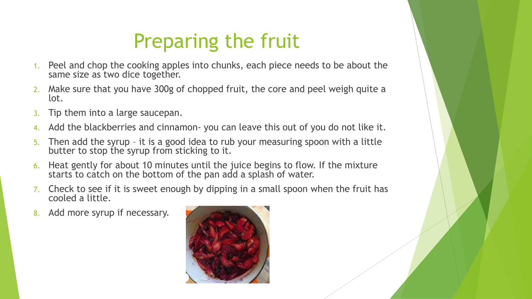### Preparing the fruit

- 1. Peel and chop the cooking apples into chunks, each piece needs to be about the same size as two dice together.
- Make sure that you have 300g of chopped fruit, the core and peel weigh quite a lot.
- 3. Tip them into a large saucepan.
- 4. Add the blackberries and cinnamon- you can leave this out of you do not like it.
- 5. Then add the syrup it is a good idea to rub your measuring spoon with a little butter to stop the syrup from sticking to it.
- 6. Heat gently for about 10 minutes until the juice begins to flow. If the mixture starts to catch on the bottom of the pan add a splash of water.
- 7. Check to see if it is sweet enough by dipping in a small spoon when the fruit has cooled a little.
- 8. Add more syrup if necessary.

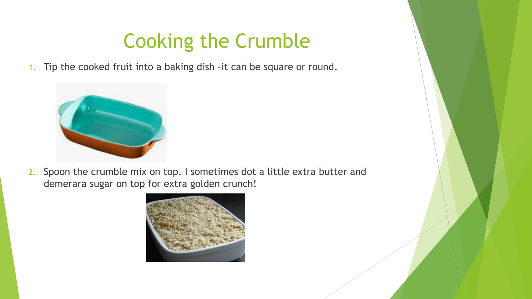### Cooking the Crumble

1. Tip the cooked fruit into a baking dish –it can be square or round.



2. Spoon the crumble mix on top. I sometimes dot a little extra butter and demerara sugar on top for extra golden crunch!

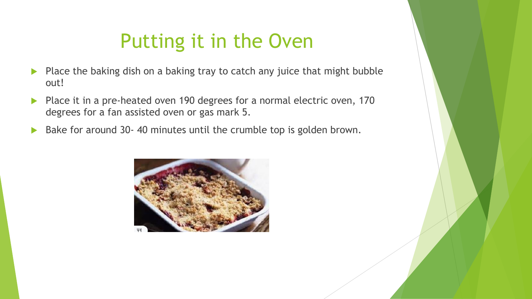### Putting it in the Oven

- Place the baking dish on a baking tray to catch any juice that might bubble out!
- Place it in a pre-heated oven 190 degrees for a normal electric oven, 170 degrees for a fan assisted oven or gas mark 5.
- Bake for around 30- 40 minutes until the crumble top is golden brown.